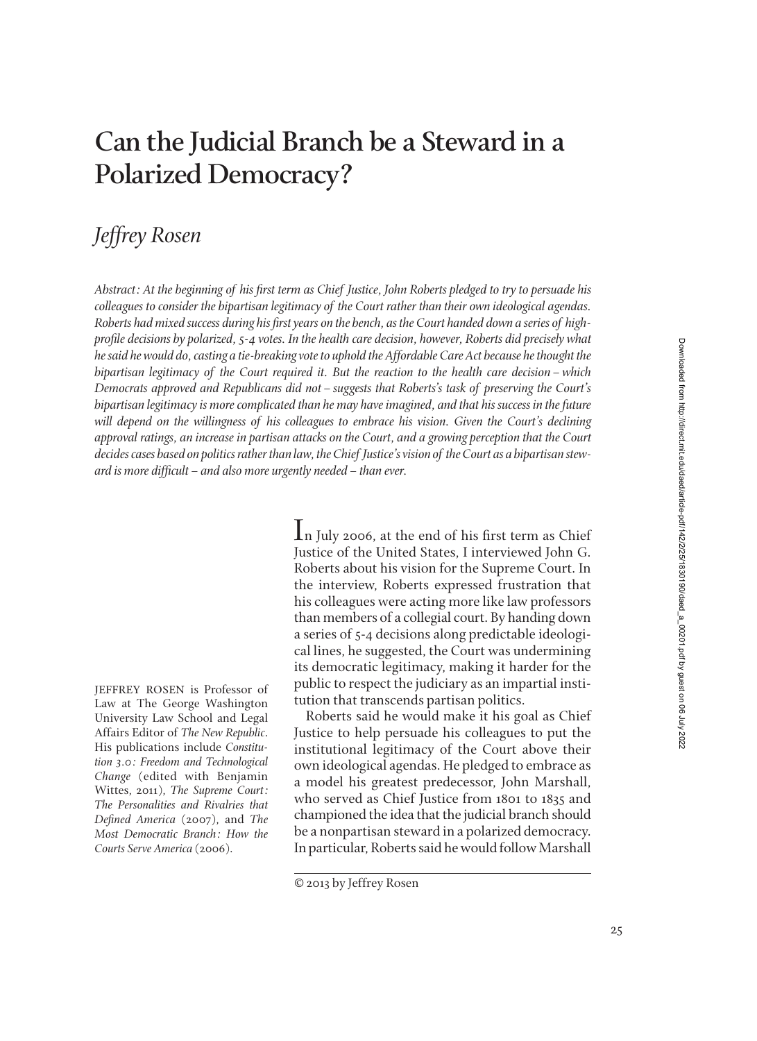## **Can the Judicial Branch be a Steward in a Polarized Democracy?**

## *Jeffrey Rosen*

Abstract: At the beginning of his first term as Chief Justice, John Roberts pledged to try to persuade his *colleagues to consider the bipartisan legitimacy of the Court rather than their own ideological agendas.* Roberts had mixed success during his first years on the bench, as the Court handed down a series of high*pro½le decisions by polarized, 5-4 votes. In the health care decision, however, Roberts did precisely what he said he would do, casting a tie-breaking vote to uphold the Affordable Care Act because he thought the bipartisan legitimacy of the Court required it. But the reaction to the health care decision–which Democrats approved and Republicans did not–suggests that Roberts's task of preserving the Court's bipartisan legitimacy is more complicated than he may have imagined, and that his success in the future will depend on the willingness of his colleagues to embrace his vision. Given the Court's declining approval ratings, an increase in partisan attacks on the Court, and a growing perception that the Court decides cases based on politics rather than law, the Chief Justice's vision of the Court as a bipartisan steward is more difficult – and also more urgently needed – than ever.* 

JEFFREY ROSEN is Professor of Law at The George Washington University Law School and Legal Affairs Editor of *The New Republic*. His publications include *Constitution 3.0: Freedom and Technological Change* (edited with Benjamin Wittes, 2011), *The Supreme Court: The Personalities and Rivalries that De½ned America* (2007), and *The Most Democratic Branch: How the Courts Serve America* (2006).

 $\ln$  July 2006, at the end of his first term as Chief Justice of the United States, I interviewed John G. Roberts about his vision for the Supreme Court. In the interview, Roberts expressed frustration that his colleagues were acting more like law professors than members of a collegial court. By handing down a series of 5-4 decisions along predictable ideological lines, he suggested, the Court was undermining its democratic legitimacy, making it harder for the public to respect the judiciary as an impartial institution that transcends partisan politics.

Roberts said he would make it his goal as Chief Justice to help persuade his colleagues to put the institutional legitimacy of the Court above their own ideological agendas. He pledged to embrace as a model his greatest predecessor, John Marshall, who served as Chief Justice from 1801 to 1835 and championed the idea that the judicial branch should be a nonpartisan steward in a polarized democracy. In particular, Roberts said he would follow Marshall

<sup>© 2013</sup> by Jeffrey Rosen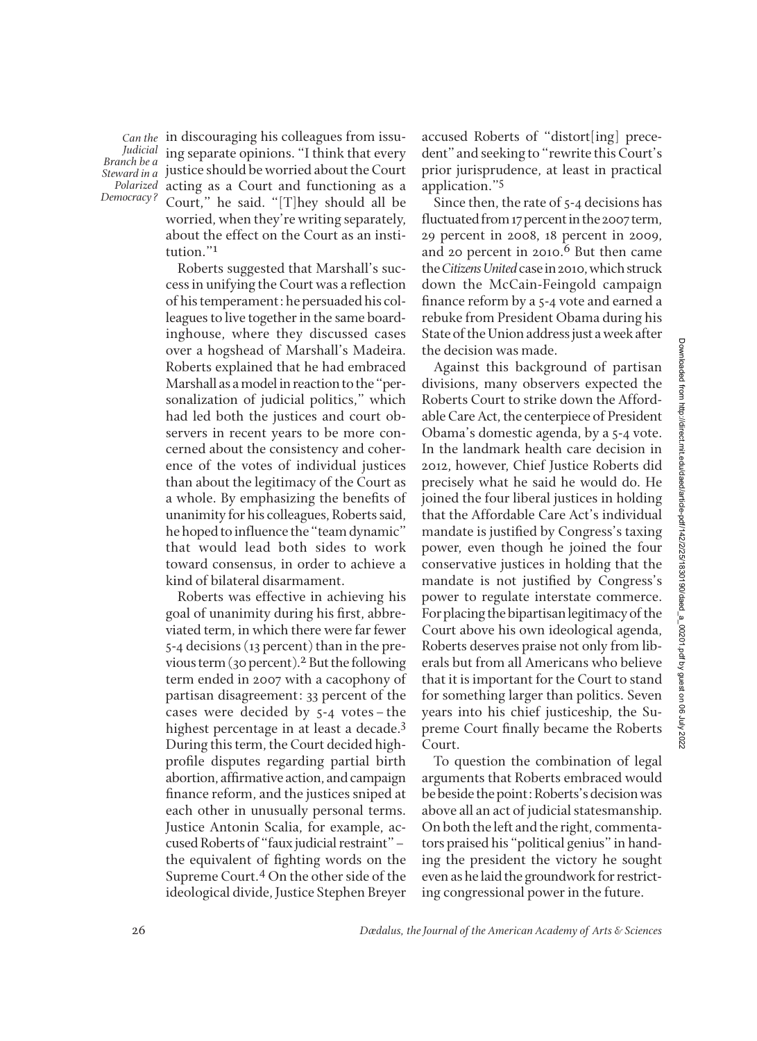*Judicial Branch be a Democracy?*

Can the in discouraging his colleagues from issuing separate opinions. "I think that every *Steward in a* justice should be worried about the Court acting as a Court and functioning as a *Polarized* Court," he said. "[T]hey should all be worried, when they're writing separately, about the effect on the Court as an institution."1

> Roberts suggested that Marshall's success in unifying the Court was a reflection of his temperament: he persuaded his colleagues to live together in the same boardinghouse, where they discussed cases over a hogshead of Marshall's Madeira. Roberts explained that he had embraced Marshall as a model in reaction to the "personalization of judicial politics," which had led both the justices and court observers in recent years to be more concerned about the consistency and coherence of the votes of individual justices than about the legitimacy of the Court as a whole. By emphasizing the benefits of unanimity for his colleagues, Roberts said, he hoped to influence the "team dynamic" that would lead both sides to work toward consensus, in order to achieve a kind of bilateral disarmament.

> Roberts was effective in achieving his goal of unanimity during his first, abbreviated term, in which there were far fewer 5-4 decisions (13 percent) than in the previous term (30 percent).<sup>2</sup> But the following term ended in 2007 with a cacophony of partisan disagreement: 33 percent of the cases were decided by 5-4 votes–the highest percentage in at least a decade.<sup>3</sup> During this term, the Court decided highprofile disputes regarding partial birth abortion, affirmative action, and campaign finance reform, and the justices sniped at each other in unusually personal terms. Justice Antonin Scalia, for example, accused Roberts of "faux judicial restraint"– the equivalent of fighting words on the Supreme Court.4 On the other side of the ideological divide, Justice Stephen Breyer

accused Roberts of "distort[ing] precedent" and seeking to "rewrite this Court's prior jurisprudence, at least in practical application."5

Since then, the rate of 5-4 decisions has fluctuated from 17 percent in the 2007 term, 29 percent in 2008, 18 percent in 2009, and 20 percent in 2010.<sup>6</sup> But then came the *Citizens United*case in 2010, which struck down the McCain-Feingold campaign finance reform by a 5-4 vote and earned a rebuke from President Obama during his State of the Union address just a week after the decision was made.

Against this background of partisan divisions, many observers expected the Roberts Court to strike down the Affordable Care Act, the centerpiece of President Obama's domestic agenda, by a 5-4 vote. In the landmark health care decision in 2012, however, Chief Justice Roberts did precisely what he said he would do. He joined the four liberal justices in holding that the Affordable Care Act's individual mandate is justified by Congress's taxing power, even though he joined the four conservative justices in holding that the mandate is not justified by Congress's power to regulate interstate commerce. For placing the bipartisan legitimacy of the Court above his own ideological agenda, Roberts deserves praise not only from liberals but from all Americans who believe that it is important for the Court to stand for something larger than politics. Seven years into his chief justiceship, the Supreme Court finally became the Roberts Court.

To question the combination of legal arguments that Roberts embraced would be beside the point: Roberts's decision was above all an act of judicial statesmanship. On both the left and the right, commentators praised his "political genius" in handing the president the victory he sought even as he laid the groundwork for restricting congressional power in the future.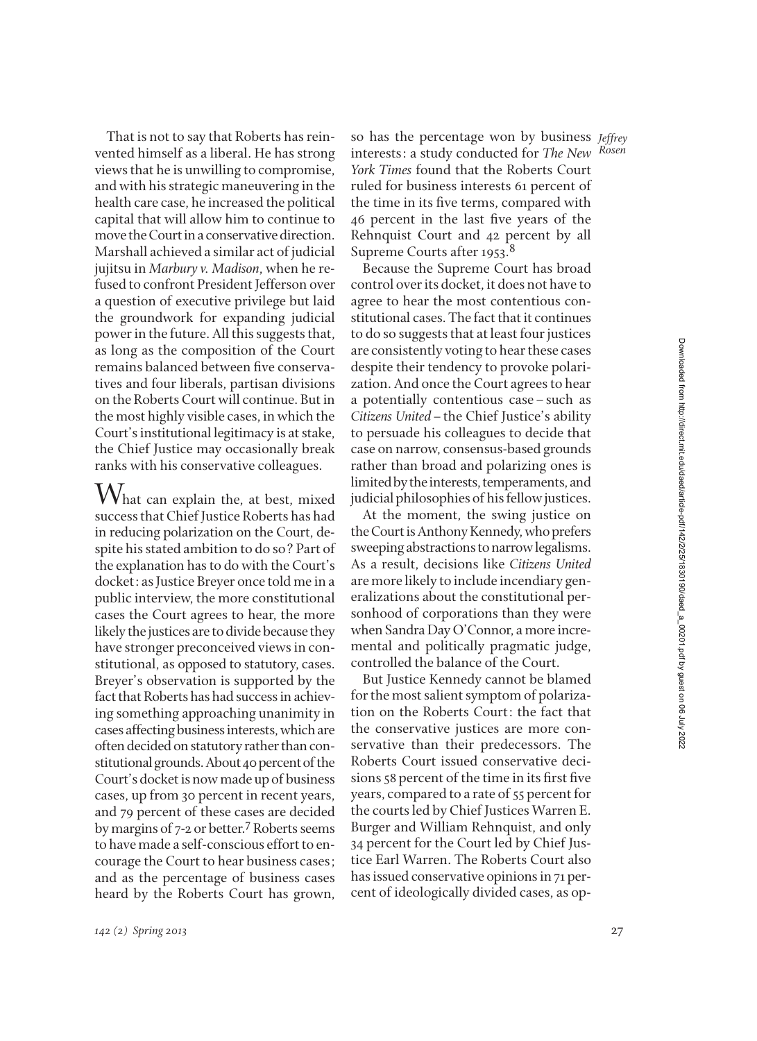That is not to say that Roberts has reinvented himself as a liberal. He has strong views that he is unwilling to compromise, and with his strategic maneuvering in the health care case, he increased the political capital that will allow him to continue to move the Court in a conservative direction. Marshall achieved a similar act of judicial jujitsu in *Marbury v. Madison*, when he refused to confront President Jefferson over a question of executive privilege but laid the groundwork for expanding judicial power in the future. All this suggests that, as long as the composition of the Court remains balanced between five conservatives and four liberals, partisan divisions on the Roberts Court will continue. But in the most highly visible cases, in which the Court's institutional legitimacy is at stake, the Chief Justice may occasionally break ranks with his conservative colleagues.

What can explain the, at best, mixed success that Chief Justice Roberts has had in reducing polarization on the Court, despite his stated ambition to do so? Part of the explanation has to do with the Court's docket: as Justice Breyer once told me in a public interview, the more constitutional cases the Court agrees to hear, the more likely the justices are to divide because they have stronger preconceived views in constitutional, as opposed to statutory, cases. Breyer's observation is supported by the fact that Roberts has had success in achieving something approaching unanimity in cases affecting business interests, which are often decided on statutory rather than constitutional grounds. About 40 percent of the Court's docket is now made up of business cases, up from 30 percent in recent years, and 79 percent of these cases are decided by margins of 7-2 or better.7 Roberts seems to have made a self-conscious effort to encourage the Court to hear business cases; and as the percentage of business cases heard by the Roberts Court has grown,

so has the percentage won by business *Jeffrey* interests: a study conducted for *The New Rosen York Times* found that the Roberts Court ruled for business interests 61 percent of the time in its five terms, compared with 46 percent in the last five years of the Rehnquist Court and 42 percent by all Supreme Courts after 1953.<sup>8</sup>

Because the Supreme Court has broad control over its docket, it does not have to agree to hear the most contentious constitutional cases. The fact that it continues to do so suggests that at least four justices are consistently voting to hear these cases despite their tendency to provoke polarization. And once the Court agrees to hear a potentially contentious case–such as *Citizens United*–the Chief Justice's ability to persuade his colleagues to decide that case on narrow, consensus-based grounds rather than broad and polarizing ones is limited by the interests, temperaments, and judicial philosophies of his fellow justices.

At the moment, the swing justice on the Court is Anthony Kennedy, who prefers sweeping abstractions to narrow legalisms. As a result, decisions like *Citizens United* are more likely to include incendiary generalizations about the constitutional personhood of corporations than they were when Sandra Day O'Connor, a more incremental and politically pragmatic judge, controlled the balance of the Court.

But Justice Kennedy cannot be blamed for the most salient symptom of polarization on the Roberts Court: the fact that the conservative justices are more conservative than their predecessors. The Roberts Court issued conservative decisions 58 percent of the time in its first five years, compared to a rate of 55 percent for the courts led by Chief Justices Warren E. Burger and William Rehnquist, and only 34 percent for the Court led by Chief Justice Earl Warren. The Roberts Court also has issued conservative opinions in 71 percent of ideologically divided cases, as op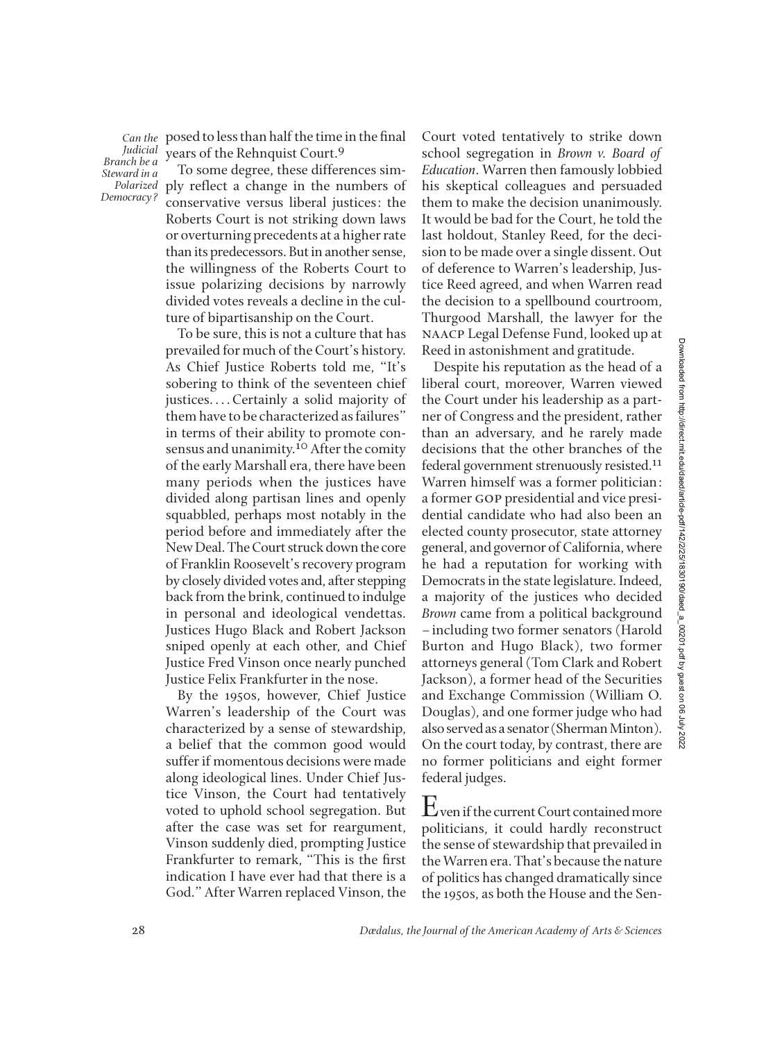Can the posed to less than half the time in the final years of the Rehnquist Court.9

*Judicial Branch be a Steward in a Democracy?*

To some degree, these differences sim-Polarized ply reflect a change in the numbers of conservative versus liberal justices: the Roberts Court is not striking down laws or overturning precedents at a higher rate than its predecessors. But in another sense, the willingness of the Roberts Court to issue polarizing decisions by narrowly divided votes reveals a decline in the culture of bipartisanship on the Court.

> To be sure, this is not a culture that has prevailed for much of the Court's history. As Chief Justice Roberts told me, "It's sobering to think of the seventeen chief justices....Certainly a solid majority of them have to be characterized as failures" in terms of their ability to promote consensus and unanimity.<sup>10</sup> After the comity of the early Marshall era, there have been many periods when the justices have divided along partisan lines and openly squabbled, perhaps most notably in the period before and immediately after the New Deal. The Court struck down the core of Franklin Roosevelt's recovery program by closely divided votes and, after stepping back from the brink, continued to indulge in personal and ideological vendettas. Justices Hugo Black and Robert Jackson sniped openly at each other, and Chief Justice Fred Vinson once nearly punched Justice Felix Frankfurter in the nose.

> By the 1950s, however, Chief Justice Warren's leadership of the Court was characterized by a sense of stewardship, a belief that the common good would suffer if momentous decisions were made along ideological lines. Under Chief Justice Vinson, the Court had tentatively voted to uphold school segregation. But after the case was set for reargument, Vinson suddenly died, prompting Justice Frankfurter to remark, "This is the first indication I have ever had that there is a God." After Warren replaced Vinson, the

Court voted tentatively to strike down school segregation in *Brown v. Board of Education*. Warren then famously lobbied his skeptical colleagues and persuaded them to make the decision unanimously. It would be bad for the Court, he told the last holdout, Stanley Reed, for the decision to be made over a single dissent. Out of deference to Warren's leadership, Justice Reed agreed, and when Warren read the decision to a spellbound courtroom, Thurgood Marshall, the lawyer for the naacp Legal Defense Fund, looked up at Reed in astonishment and gratitude.

Despite his reputation as the head of a liberal court, moreover, Warren viewed the Court under his leadership as a partner of Congress and the president, rather than an adversary, and he rarely made decisions that the other branches of the federal government strenuously resisted.11 Warren himself was a former politician: a former gop presidential and vice presidential candidate who had also been an elected county prosecutor, state attorney general, and governor of California, where he had a reputation for working with Democrats in the state legislature. Indeed, a majority of the justices who decided *Brown* came from a political background –including two former senators (Harold Burton and Hugo Black), two former attorneys general (Tom Clark and Robert Jackson), a former head of the Securities and Exchange Commission (William O. Douglas), and one former judge who had also served as a senator (Sherman Minton). On the court today, by contrast, there are no former politicians and eight former federal judges.

Even if the current Court contained more politicians, it could hardly reconstruct the sense of stewardship that prevailed in the Warren era. That's because the nature of politics has changed dramatically since the 1950s, as both the House and the Sen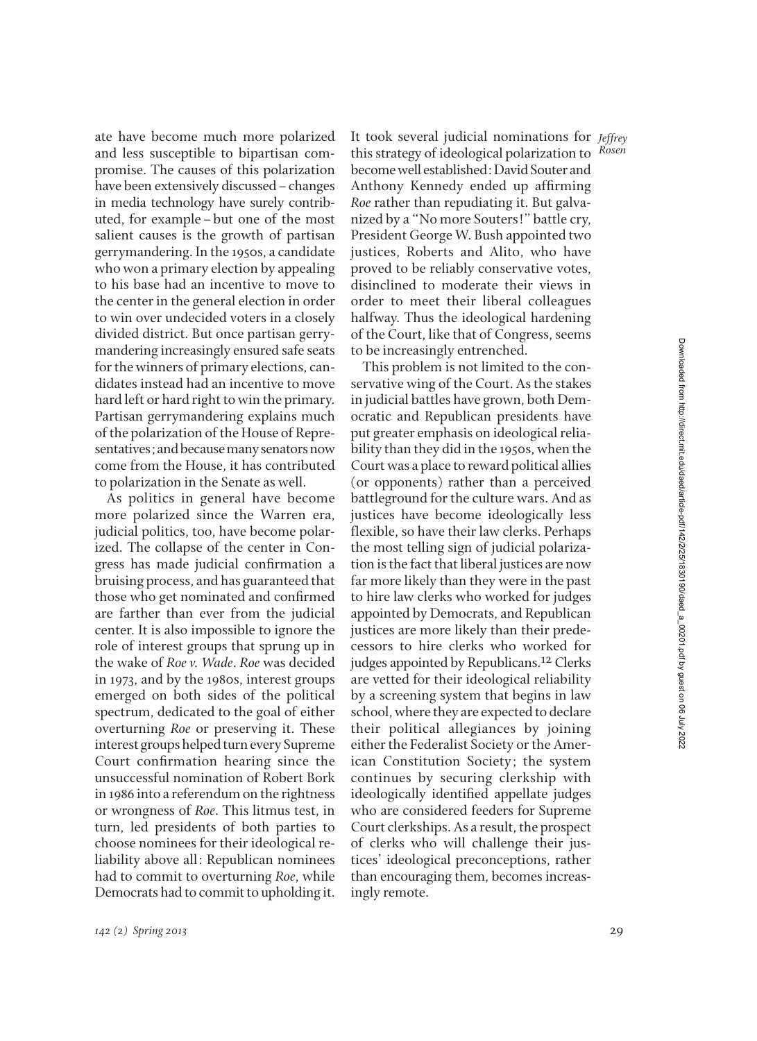ate have become much more polarized and less susceptible to bipartisan compromise. The causes of this polarization have been extensively discussed–changes in media technology have surely contributed, for example–but one of the most salient causes is the growth of partisan gerrymandering. In the 1950s, a candidate who won a primary election by appealing to his base had an incentive to move to the center in the general election in order to win over undecided voters in a closely divided district. But once partisan gerrymandering increasingly ensured safe seats for the winners of primary elections, candidates instead had an incentive to move hard left or hard right to win the primary. Partisan gerrymandering explains much of the polarization of the House of Representatives; and because many senators now come from the House, it has contributed to polarization in the Senate as well.

As politics in general have become more polarized since the Warren era, judicial politics, too, have become polarized. The collapse of the center in Congress has made judicial confirmation a bruising process, and has guaranteed that those who get nominated and confirmed are farther than ever from the judicial center. It is also impossible to ignore the role of interest groups that sprung up in the wake of *Roe v. Wade*. *Roe* was decided in 1973, and by the 1980s, interest groups emerged on both sides of the political spectrum, dedicated to the goal of either overturning *Roe* or preserving it. These interest groups helped turn every Supreme Court confirmation hearing since the unsuccessful nomination of Robert Bork in 1986 into a referendum on the rightness or wrongness of *Roe*. This litmus test, in turn, led presidents of both parties to choose nominees for their ideological reliability above all: Republican nominees had to commit to overturning *Roe*, while Democrats had to commit to upholding it.

It took several judicial nominations for *Jeffrey* this strategy of ideological polarization to *Rosen* become well established: David Souter and Anthony Kennedy ended up affirming *Roe* rather than repudiating it. But galvanized by a "No more Souters!" battle cry, President George W. Bush appointed two justices, Roberts and Alito, who have proved to be reliably conservative votes, disinclined to moderate their views in order to meet their liberal colleagues halfway. Thus the ideological hardening of the Court, like that of Congress, seems to be increasingly entrenched.

This problem is not limited to the conservative wing of the Court. As the stakes in judicial battles have grown, both Democratic and Republican presidents have put greater emphasis on ideological reliability than they did in the 1950s, when the Court was a place to reward political allies (or opponents) rather than a perceived battleground for the culture wars. And as justices have become ideologically less flexible, so have their law clerks. Perhaps the most telling sign of judicial polarization is the fact that liberal justices are now far more likely than they were in the past to hire law clerks who worked for judges appointed by Democrats, and Republican justices are more likely than their predecessors to hire clerks who worked for judges appointed by Republicans.12 Clerks are vetted for their ideological reliability by a screening system that begins in law school, where they are expected to declare their political allegiances by joining either the Federalist Society or the American Constitution Society; the system continues by securing clerkship with ideologically identified appellate judges who are considered feeders for Supreme Court clerkships. As a result, the prospect of clerks who will challenge their justices' ideological preconceptions, rather than encouraging them, becomes increasingly remote.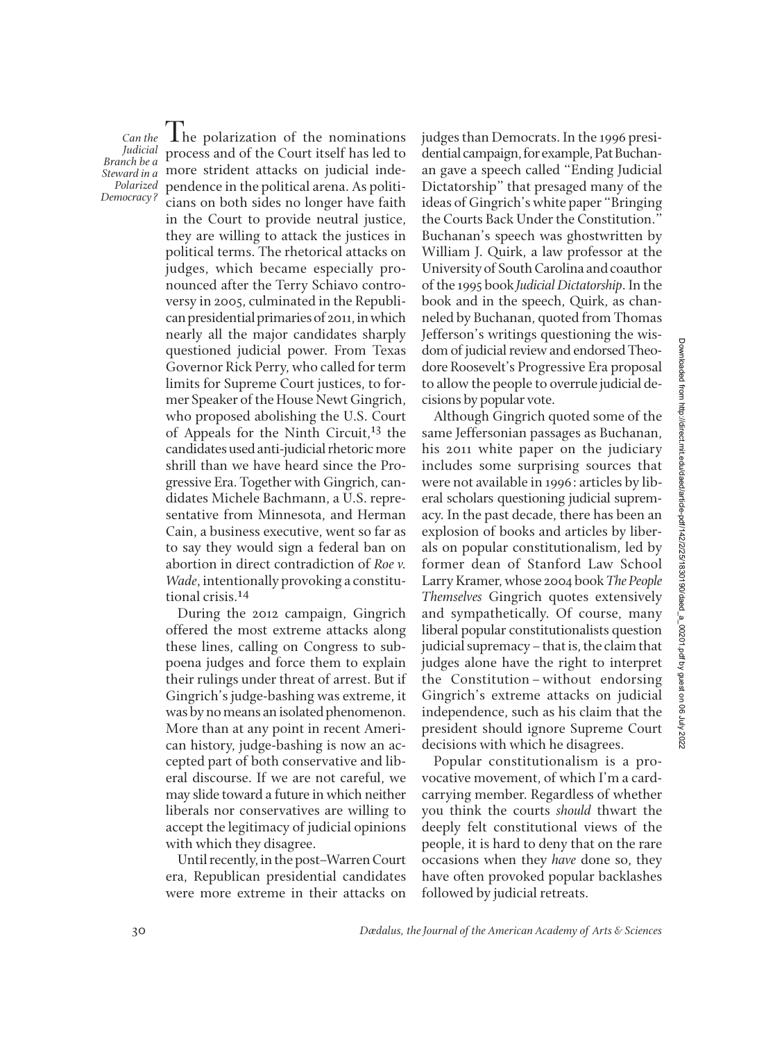*Can the Judicial Branch be a Polarized Democracy?*

The polarization of the nominations process and of the Court itself has led to more strident attacks on judicial inde-*Steward in a* pendence in the political arena. As politicians on both sides no longer have faith in the Court to provide neutral justice, they are willing to attack the justices in political terms. The rhetorical attacks on judges, which became especially pronounced after the Terry Schiavo controversy in 2005, culminated in the Republican presidential primaries of 2011, in which nearly all the major candidates sharply questioned judicial power. From Texas Governor Rick Perry, who called for term limits for Supreme Court justices, to former Speaker of the House Newt Gingrich, who proposed abolishing the U.S. Court of Appeals for the Ninth Circuit,<sup>13</sup> the candidates used anti-judicial rhetoric more shrill than we have heard since the Progressive Era. Together with Gingrich, candidates Michele Bachmann, a U.S. representative from Minnesota, and Herman Cain, a business executive, went so far as to say they would sign a federal ban on abortion in direct contradiction of *Roe v. Wade*, intentionally provoking a constitutional crisis.14

> During the 2012 campaign, Gingrich offered the most extreme attacks along these lines, calling on Congress to subpoena judges and force them to explain their rulings under threat of arrest. But if Gingrich's judge-bashing was extreme, it was by no means an isolated phenomenon. More than at any point in recent American history, judge-bashing is now an accepted part of both conservative and liberal discourse. If we are not careful, we may slide toward a future in which neither liberals nor conservatives are willing to accept the legitimacy of judicial opinions with which they disagree.

> Until recently, in the post–Warren Court era, Republican presidential candidates were more extreme in their attacks on

judges than Democrats. In the 1996 presidential campaign, for example, Pat Buchanan gave a speech called "Ending Judicial Dictatorship" that presaged many of the ideas of Gingrich's white paper "Bringing the Courts Back Under the Constitution." Buchanan's speech was ghostwritten by William J. Quirk, a law professor at the University of South Carolina and coauthor of the 1995 book *Judicial Dictatorship*. In the book and in the speech, Quirk, as channeled by Buchanan, quoted from Thomas Jefferson's writings questioning the wisdom of judicial review and endorsed Theodore Roosevelt's Progressive Era proposal to allow the people to overrule judicial decisions by popular vote.

Although Gingrich quoted some of the same Jeffersonian passages as Buchanan, his 2011 white paper on the judiciary includes some surprising sources that were not available in 1996: articles by liberal scholars questioning judicial supremacy. In the past decade, there has been an explosion of books and articles by liberals on popular constitutionalism, led by former dean of Stanford Law School Larry Kramer, whose 2004 book *The People Themselves* Gingrich quotes extensively and sympathetically. Of course, many liberal popular constitutionalists question judicial supremacy–that is, the claim that judges alone have the right to interpret the Constitution–without endorsing Gingrich's extreme attacks on judicial independence, such as his claim that the president should ignore Supreme Court decisions with which he disagrees.

Popular constitutionalism is a provocative movement, of which I'm a cardcarrying member. Regardless of whether you think the courts *should* thwart the deeply felt constitutional views of the people, it is hard to deny that on the rare occasions when they *have* done so, they have often provoked popular backlashes followed by judicial retreats.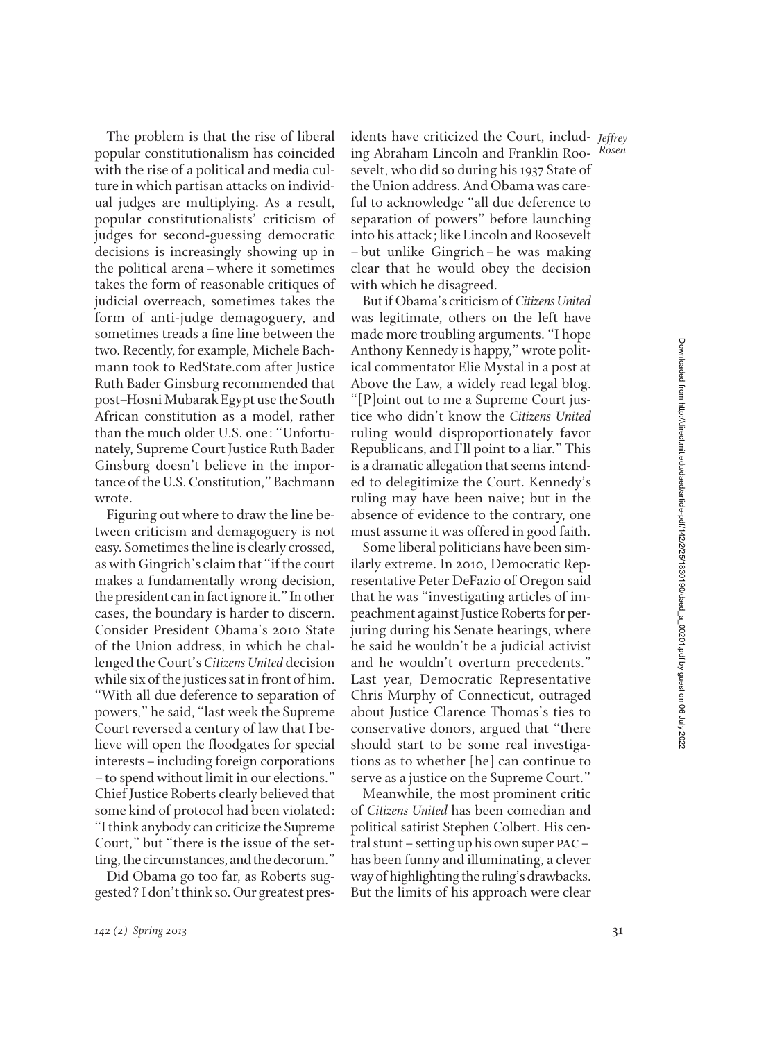The problem is that the rise of liberal popular constitutionalism has coincided with the rise of a political and media culture in which partisan attacks on individual judges are multiplying. As a result, popular constitutionalists' criticism of judges for second-guessing democratic decisions is increasingly showing up in the political arena–where it sometimes takes the form of reasonable critiques of judicial overreach, sometimes takes the form of anti-judge demagoguery, and sometimes treads a fine line between the two. Recently, for example, Michele Bachmann took to RedState.com after Justice Ruth Bader Ginsburg recommended that post–Hosni Mubarak Egypt use the South African constitution as a model, rather than the much older U.S. one: "Unfortunately, Supreme Court Justice Ruth Bader Ginsburg doesn't believe in the importance of the U.S. Constitution," Bachmann wrote.

Figuring out where to draw the line between criticism and demagoguery is not easy. Sometimes the line is clearly crossed, as with Gingrich's claim that "if the court makes a fundamentally wrong decision, the president can in fact ignore it." In other cases, the boundary is harder to discern. Consider President Obama's 2010 State of the Union address, in which he challenged the Court's *Citizens United* decision while six of the justices sat in front of him. "With all due deference to separation of powers," he said, "last week the Supreme Court reversed a century of law that I believe will open the floodgates for special interests–including foreign corporations –to spend without limit in our elections." Chief Justice Roberts clearly believed that some kind of protocol had been violated: "I think anybody can criticize the Supreme Court," but "there is the issue of the setting, the circumstances, and the decorum."

Did Obama go too far, as Roberts suggested? I don't think so. Our greatest presidents have criticized the Court, includ-*Jeffrey* ing Abraham Lincoln and Franklin Roo-*Rosen* sevelt, who did so during his 1937 State of the Union address. And Obama was careful to acknowledge "all due deference to separation of powers" before launching into his attack; like Lincoln and Roosevelt –but unlike Gingrich–he was making clear that he would obey the decision with which he disagreed.

But if Obama's criticism of *Citizens United* was legitimate, others on the left have made more troubling arguments. "I hope Anthony Kennedy is happy," wrote political commentator Elie Mystal in a post at Above the Law, a widely read legal blog. "[P]oint out to me a Supreme Court justice who didn't know the *Citizens United* ruling would disproportionately favor Republicans, and I'll point to a liar." This is a dramatic allegation that seems intended to delegitimize the Court. Kennedy's ruling may have been naive; but in the absence of evidence to the contrary, one must assume it was offered in good faith.

Some liberal politicians have been similarly extreme. In 2010, Democratic Representative Peter DeFazio of Oregon said that he was "investigating articles of impeachment against Justice Roberts for perjuring during his Senate hearings, where he said he wouldn't be a judicial activist and he wouldn't overturn precedents." Last year, Democratic Representative Chris Murphy of Connecticut, outraged about Justice Clarence Thomas's ties to conservative donors, argued that "there should start to be some real investigations as to whether [he] can continue to serve as a justice on the Supreme Court."

Meanwhile, the most prominent critic of *Citizens United* has been comedian and political satirist Stephen Colbert. His central stunt–setting up his own super pac– has been funny and illuminating, a clever way of highlighting the ruling's drawbacks. But the limits of his approach were clear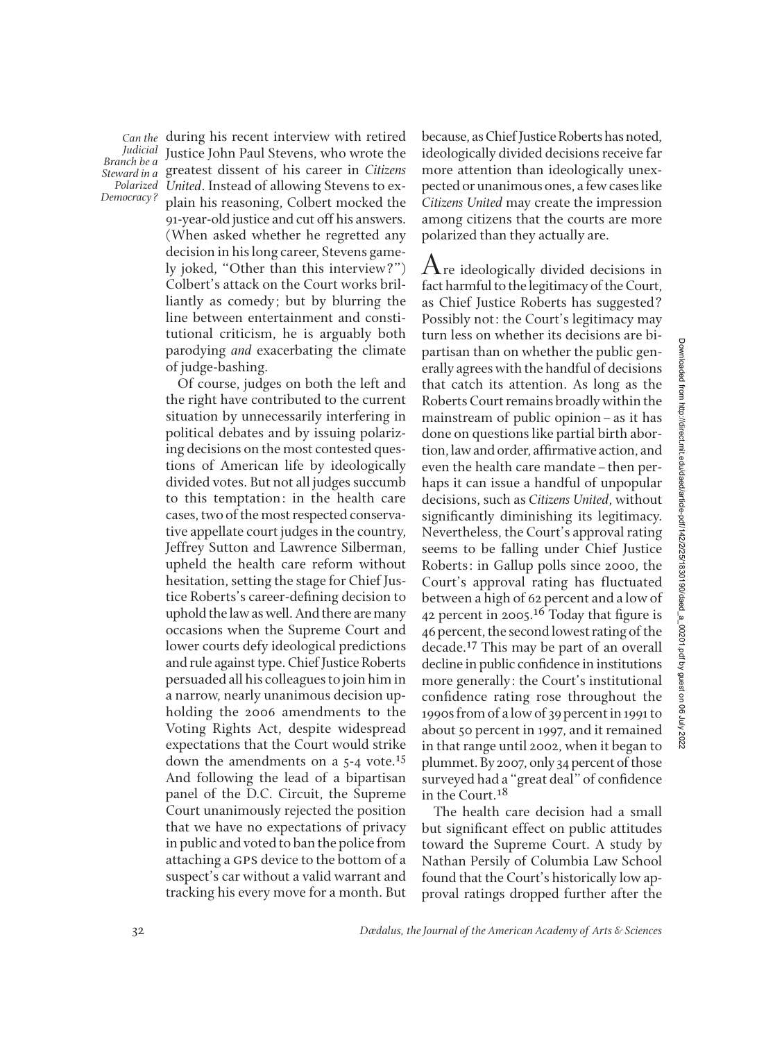*Judicial Branch be a Polarized Democracy?*

Can the during his recent interview with retired Justice John Paul Stevens, who wrote the greatest dissent of his career in *Citizens Steward in a United*. Instead of allowing Stevens to explain his reasoning, Colbert mocked the 91-year-old justice and cut off his answers. (When asked whether he regretted any decision in his long career, Stevens gamely joked, "Other than this interview?") Colbert's attack on the Court works brilliantly as comedy; but by blurring the line between entertainment and constitutional criticism, he is arguably both parodying *and* exacerbating the climate of judge-bashing.

> Of course, judges on both the left and the right have contributed to the current situation by unnecessarily interfering in political debates and by issuing polarizing decisions on the most contested questions of American life by ideologically divided votes. But not all judges succumb to this temptation: in the health care cases, two of the most respected conservative appellate court judges in the country, Jeffrey Sutton and Lawrence Silberman, upheld the health care reform without hesitation, setting the stage for Chief Justice Roberts's career-defining decision to uphold the law as well. And there are many occasions when the Supreme Court and lower courts defy ideological predictions and rule against type. Chief Justice Roberts persuaded all his colleagues to join him in a narrow, nearly unanimous decision upholding the 2006 amendments to the Voting Rights Act, despite widespread expectations that the Court would strike down the amendments on a 5-4 vote.<sup>15</sup> And following the lead of a bipartisan panel of the D.C. Circuit, the Supreme Court unanimously rejected the position that we have no expectations of privacy in public and voted to ban the police from attaching a GPS device to the bottom of a suspect's car without a valid warrant and tracking his every move for a month. But

because, as Chief Justice Roberts has noted, ideologically divided decisions receive far more attention than ideologically unexpected or unanimous ones, a few cases like *Citizens United* may create the impression among citizens that the courts are more polarized than they actually are.

 $\Lambda$ re ideologically divided decisions in fact harmful to the legitimacy of the Court, as Chief Justice Roberts has suggested? Possibly not: the Court's legitimacy may turn less on whether its decisions are bipartisan than on whether the public generally agrees with the handful of decisions that catch its attention. As long as the Roberts Court remains broadly within the mainstream of public opinion–as it has done on questions like partial birth abortion, law and order, affirmative action, and even the health care mandate–then perhaps it can issue a handful of unpopular decisions, such as *Citizens United*, without significantly diminishing its legitimacy. Nevertheless, the Court's approval rating seems to be falling under Chief Justice Roberts: in Gallup polls since 2000, the Court's approval rating has fluctuated between a high of 62 percent and a low of 42 percent in 2005.<sup>16</sup> Today that figure is 46 percent, the second lowest rating of the decade.17 This may be part of an overall decline in public confidence in institutions more generally: the Court's institutional confidence rating rose throughout the 1990s from of a low of 39 percent in 1991 to about 50 percent in 1997, and it remained in that range until 2002, when it began to plummet. By 2007, only 34 percent of those surveyed had a "great deal" of confidence in the Court.18

The health care decision had a small but significant effect on public attitudes toward the Supreme Court. A study by Nathan Persily of Columbia Law School found that the Court's historically low approval ratings dropped further after the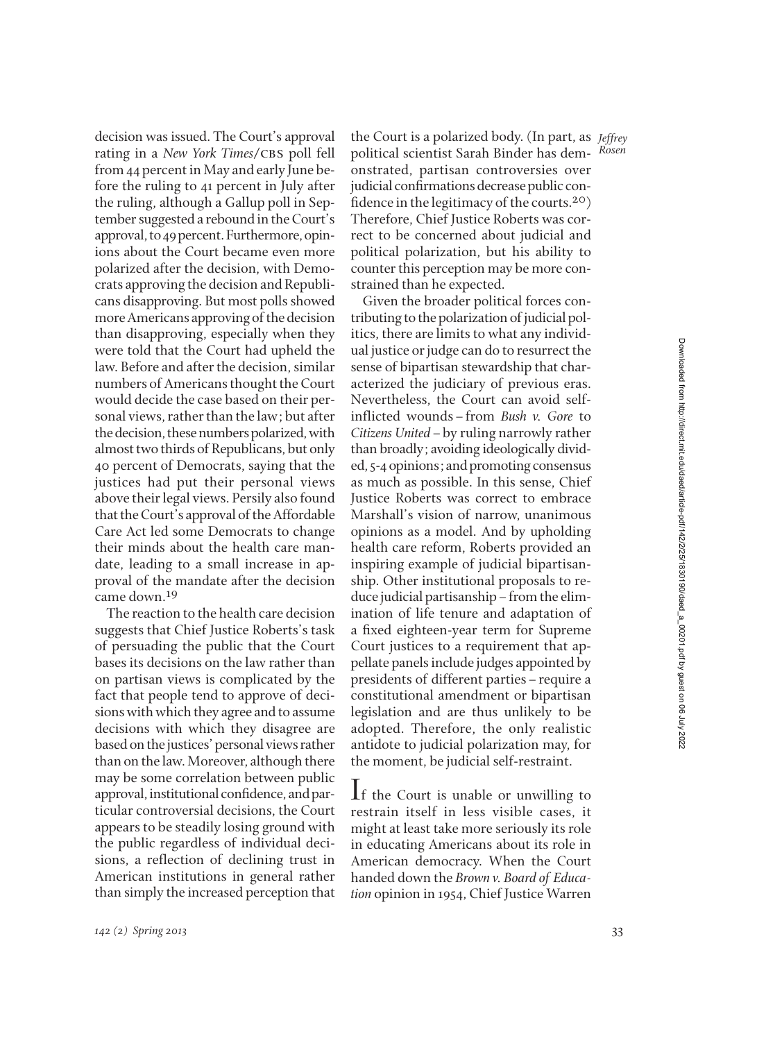decision was issued. The Court's approval rating in a *New York Times*/CBS poll fell from 44 percent in May and early June before the ruling to 41 percent in July after the ruling, although a Gallup poll in September suggested a rebound in the Court's approval, to 49 percent. Furthermore, opinions about the Court became even more polarized after the decision, with Democrats approving the decision and Republicans disapproving. But most polls showed more Americans approving of the decision than disapproving, especially when they were told that the Court had upheld the law. Before and after the decision, similar numbers of Americans thought the Court would decide the case based on their personal views, rather than the law; but after the decision, these numbers polarized, with almost two thirds of Republicans, but only 40 percent of Democrats, saying that the justices had put their personal views above their legal views. Persily also found that the Court's approval of the Affordable Care Act led some Democrats to change their minds about the health care mandate, leading to a small increase in approval of the mandate after the decision came down.19

The reaction to the health care decision suggests that Chief Justice Roberts's task of persuading the public that the Court bases its decisions on the law rather than on partisan views is complicated by the fact that people tend to approve of decisions with which they agree and to assume decisions with which they disagree are based on the justices' personal views rather than on the law. Moreover, although there may be some correlation between public approval, institutional confidence, and particular controversial decisions, the Court appears to be steadily losing ground with the public regardless of individual decisions, a reflection of declining trust in American institutions in general rather than simply the increased perception that

the Court is a polarized body. (In part, as *Jeffrey* political scientist Sarah Binder has dem-*Rosen* onstrated, partisan controversies over judicial confirmations decrease public confidence in the legitimacy of the courts.<sup>20</sup>) Therefore, Chief Justice Roberts was correct to be concerned about judicial and political polarization, but his ability to counter this perception may be more constrained than he expected.

Given the broader political forces contributing to the polarization of judicial politics, there are limits to what any individual justice or judge can do to resurrect the sense of bipartisan stewardship that characterized the judiciary of previous eras. Nevertheless, the Court can avoid selfinflicted wounds–from *Bush v. Gore* to *Citizens United*–by ruling narrowly rather than broadly; avoiding ideologically divided, 5-4 opinions; and promoting consensus as much as possible. In this sense, Chief Justice Roberts was correct to embrace Marshall's vision of narrow, unanimous opinions as a model. And by upholding health care reform, Roberts provided an inspiring example of judicial bipartisanship. Other institutional proposals to reduce judicial partisanship–from the elimination of life tenure and adaptation of a fixed eighteen-year term for Supreme Court justices to a requirement that appellate panels include judges appointed by presidents of different parties–require a constitutional amendment or bipartisan legislation and are thus unlikely to be adopted. Therefore, the only realistic antidote to judicial polarization may, for the moment, be judicial self-restraint.

If the Court is unable or unwilling to restrain itself in less visible cases, it might at least take more seriously its role in educating Americans about its role in American democracy. When the Court handed down the *Brown v. Board of Education* opinion in 1954, Chief Justice Warren

Downloaded from http://direct.mit.edu/daed/article-pdf/142/2/25/1830190/daed\_a\_00201.pdf by guest on 06 July 2022 Downloaded from http://direct.mit.edu/daed/article-pdf/142/2/25/1830190/daed\_a\_00201.pdf by guest on 06 July 2022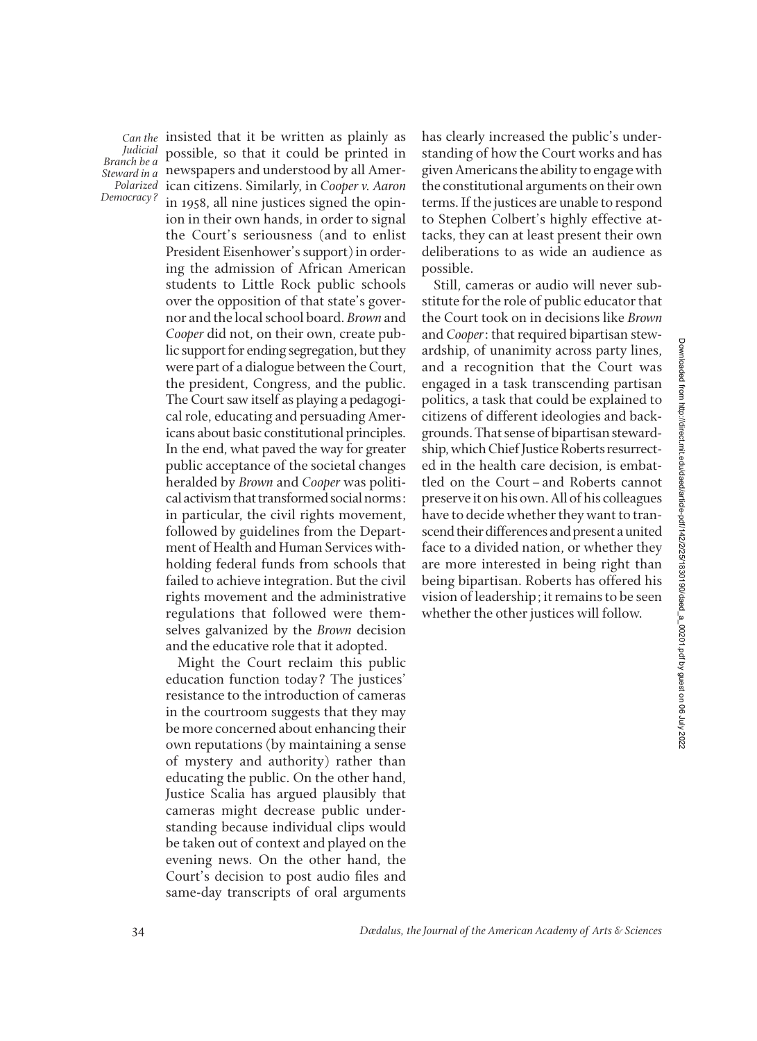*Judicial Branch be a Democracy?*

Can the insisted that it be written as plainly as possible, so that it could be printed in *Steward in a* newspapers and understood by all American citizens. Similarly, in *Cooper v. Aaron Polarized* in 1958, all nine justices signed the opinion in their own hands, in order to signal the Court's seriousness (and to enlist President Eisenhower's support) in ordering the admission of African American students to Little Rock public schools over the opposition of that state's governor and the local school board. *Brown* and *Cooper* did not, on their own, create public support for ending segregation, but they were part of a dialogue between the Court, the president, Congress, and the public. The Court saw itself as playing a pedagogical role, educating and persuading Americans about basic constitutional principles. In the end, what paved the way for greater public acceptance of the societal changes heralded by *Brown* and *Cooper* was political activism that transformed social norms: in particular, the civil rights movement, followed by guidelines from the Department of Health and Human Services withholding federal funds from schools that failed to achieve integration. But the civil rights movement and the administrative regulations that followed were themselves galvanized by the *Brown* decision and the educative role that it adopted.

Might the Court reclaim this public education function today? The justices' resistance to the introduction of cameras in the courtroom suggests that they may be more concerned about enhancing their own reputations (by maintaining a sense of mystery and authority) rather than educating the public. On the other hand, Justice Scalia has argued plausibly that cameras might decrease public understanding because individual clips would be taken out of context and played on the evening news. On the other hand, the Court's decision to post audio files and same-day transcripts of oral arguments

has clearly increased the public's understanding of how the Court works and has given Americans the ability to engage with the constitutional arguments on their own terms. If the justices are unable to respond to Stephen Colbert's highly effective attacks, they can at least present their own deliberations to as wide an audience as possible.

Still, cameras or audio will never substitute for the role of public educator that the Court took on in decisions like *Brown* and *Cooper*: that required bipartisan stewardship, of unanimity across party lines, and a recognition that the Court was engaged in a task transcending partisan politics, a task that could be explained to citizens of different ideologies and backgrounds. That sense of bipartisan stewardship, which Chief Justice Roberts resurrected in the health care decision, is embattled on the Court–and Roberts cannot preserve it on his own. All of his colleagues have to decide whether they want to transcend their differences and present a united face to a divided nation, or whether they are more interested in being right than being bipartisan. Roberts has offered his vision of leadership; it remains to be seen whether the other justices will follow.